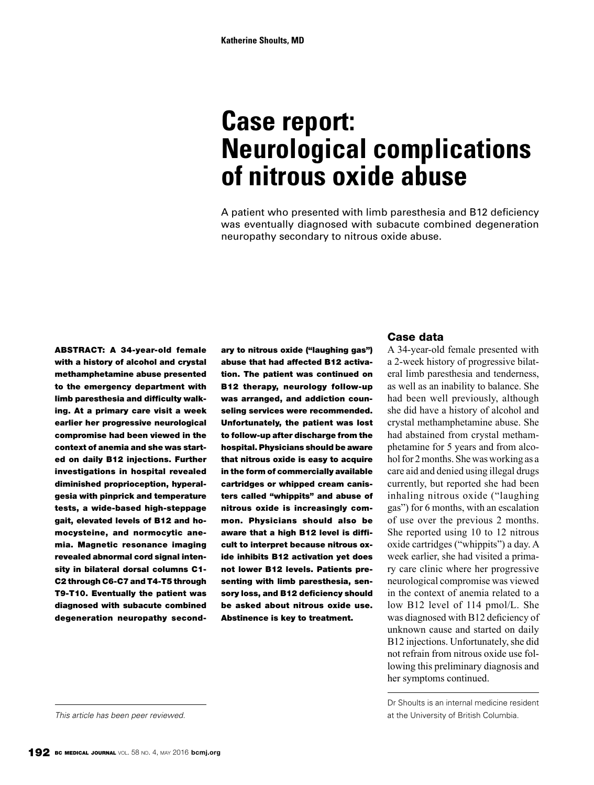# **Case report: Neurological complications of nitrous oxide abuse**

A patient who presented with limb paresthesia and B12 deficiency was eventually diagnosed with subacute combined degeneration neuropathy secondary to nitrous oxide abuse.

ABSTRACT: A 34-year-old female with a history of alcohol and crystal methamphetamine abuse presented to the emergency department with limb paresthesia and difficulty walking. At a primary care visit a week earlier her progressive neurological compromise had been viewed in the context of anemia and she was started on daily B12 injections. Further investigations in hospital revealed diminished proprioception, hyperalgesia with pinprick and temperature tests, a wide-based high-steppage gait, elevated levels of B12 and homocysteine, and normocytic anemia. Magnetic resonance imaging revealed abnormal cord signal intensity in bilateral dorsal columns C1- C2 through C6-C7 and T4-T5 through T9-T10. Eventually the patient was diagnosed with subacute combined degeneration neuropathy secondary to nitrous oxide ("laughing gas") abuse that had affected B12 activation. The patient was continued on B12 therapy, neurology follow-up was arranged, and addiction counseling services were recommended. Unfortunately, the patient was lost to follow-up after discharge from the hospital. Physicians should be aware that nitrous oxide is easy to acquire in the form of commercially available cartridges or whipped cream canisters called "whippits" and abuse of nitrous oxide is increasingly common. Physicians should also be aware that a high B12 level is difficult to interpret because nitrous oxide inhibits B12 activation yet does not lower B12 levels. Patients presenting with limb paresthesia, sensory loss, and B12 deficiency should be asked about nitrous oxide use. Abstinence is key to treatment.

#### Case data

A 34-year-old female presented with a 2-week history of progressive bilateral limb paresthesia and tenderness, as well as an inability to balance. She had been well previously, although she did have a history of alcohol and crystal methamphetamine abuse. She had abstained from crystal methamphetamine for 5 years and from alcohol for 2 months. She was working as a care aid and denied using illegal drugs currently, but reported she had been inhaling nitrous oxide ("laughing gas") for 6 months, with an escalation of use over the previous 2 months. She reported using 10 to 12 nitrous oxide cartridges ("whippits") a day. A week earlier, she had visited a primary care clinic where her progressive neurological compromise was viewed in the context of anemia related to a low B12 level of 114 pmol/L. She was diagnosed with B12 deficiency of unknown cause and started on daily B12 injections. Unfortunately, she did not refrain from nitrous oxide use following this preliminary diagnosis and her symptoms continued.

Dr Shoults is an internal medicine resident *This article has been peer reviewed.* at the University of British Columbia.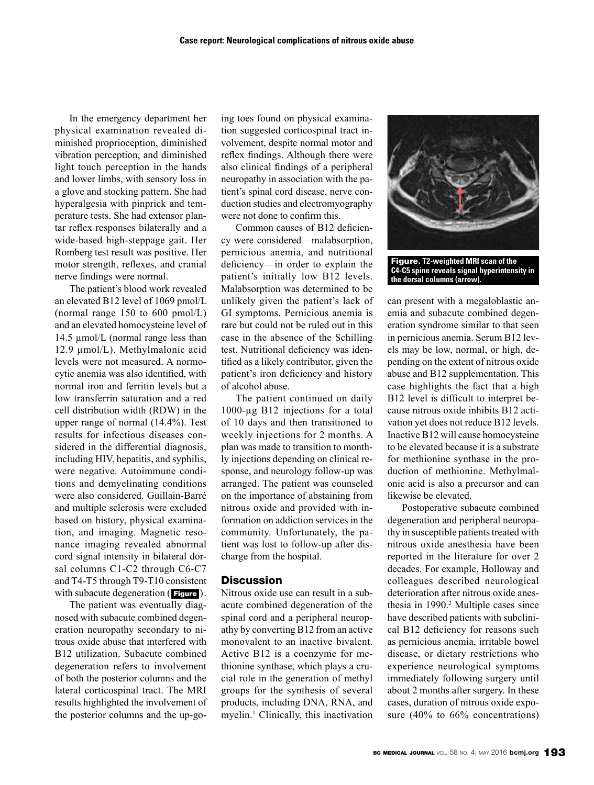In the emergency department her physical examination revealed diminished proprioception, diminished vibration perception, and diminished light touch perception in the hands and lower limbs, with sensory loss in a glove and stocking pattern. She had hyperalgesia with pinprick and temperature tests. She had extensor plantar reflex responses bilaterally and a wide-based high-steppage gait. Her Romberg test result was positive. Her motor strength, reflexes, and cranial nerve findings were normal.

The patient's blood work revealed an elevated B12 level of 1069 pmol/L (normal range 150 to 600 pmol/L) and an elevated homocysteine level of 14.5 µmol/L (normal range less than 12.9 µmol/L). Methylmalonic acid levels were not measured. A normocytic anemia was also identified, with normal iron and ferritin levels but a low transferrin saturation and a red cell distribution width (RDW) in the upper range of normal (14.4%). Test results for infectious diseases considered in the differential diagnosis, including HIV, hepatitis, and syphilis, were negative. Autoimmune conditions and demyelinating conditions were also considered. Guillain-Barré and multiple sclerosis were excluded based on history, physical examination, and imaging. Magnetic resonance imaging revealed abnormal cord signal intensity in bilateral dorsal columns C1-C2 through C6-C7 and T4-T5 through T9-T10 consistent with subacute degeneration (**Figure**).

The patient was eventually diagnosed with subacute combined degeneration neuropathy secondary to nitrous oxide abuse that interfered with B12 utilization. Subacute combined degeneration refers to involvement of both the posterior columns and the lateral corticospinal tract. The MRI results highlighted the involvement of the posterior columns and the up-going toes found on physical examination suggested corticospinal tract involvement, despite normal motor and reflex findings. Although there were also clinical findings of a peripheral neuropathy in association with the patient's spinal cord disease, nerve conduction studies and electromyography were not done to confirm this.

Common causes of B12 deficiency were considered—malabsorption, pernicious anemia, and nutritional deficiency—in order to explain the patient's initially low B12 levels. Malabsorption was determined to be unlikely given the patient's lack of GI symptoms. Pernicious anemia is rare but could not be ruled out in this case in the absence of the Schilling test. Nutritional deficiency was identified as a likely contributor, given the patient's iron deficiency and history of alcohol abuse.

The patient continued on daily 1000-µg B12 injections for a total of 10 days and then transitioned to weekly injections for 2 months. A plan was made to transition to monthly injections depending on clinical response, and neurology follow-up was arranged. The patient was counseled on the importance of abstaining from nitrous oxide and provided with information on addiction services in the community. Unfortunately, the patient was lost to follow-up after discharge from the hospital.

## **Discussion**

Nitrous oxide use can result in a subacute combined degeneration of the spinal cord and a peripheral neuropathy by converting B12 from an active monovalent to an inactive bivalent. Active B12 is a coenzyme for methionine synthase, which plays a crucial role in the generation of methyl groups for the synthesis of several products, including DNA, RNA, and myelin.<sup>1</sup> Clinically, this inactivation



Figure. **T2-weighted MRI scan of the C4-C5 spine reveals signal hyperintensity in the dorsal columns (arrow).** 

can present with a megaloblastic anemia and subacute combined degeneration syndrome similar to that seen in pernicious anemia. Serum B12 levels may be low, normal, or high, depending on the extent of nitrous oxide abuse and B12 supplementation. This case highlights the fact that a high B12 level is difficult to interpret because nitrous oxide inhibits B12 activation yet does not reduce B12 levels. Inactive B12 will cause homocysteine to be elevated because it is a substrate for methionine synthase in the production of methionine. Methylmalonic acid is also a precursor and can likewise be elevated.

Postoperative subacute combined degeneration and peripheral neuropathy in susceptible patients treated with nitrous oxide anesthesia have been reported in the literature for over 2 decades. For example, Holloway and colleagues described neurological deterioration after nitrous oxide anesthesia in 1990.<sup>2</sup> Multiple cases since have described patients with subclinical B12 deficiency for reasons such as pernicious anemia, irritable bowel disease, or dietary restrictions who experience neurological symptoms immediately following surgery until about 2 months after surgery. In these cases, duration of nitrous oxide exposure (40% to 66% concentrations)